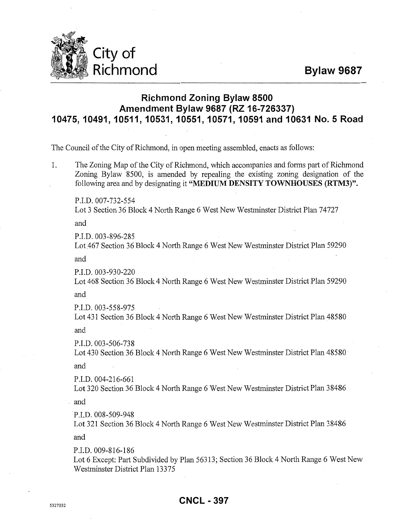**Bylaw 9687** 



## **Richmond Zoning Bylaw 8500 Amendment Bylaw 9687 (RZ 16-726337) 10475, 10491, 10511, 10531, 10551, 10571, 10591 and 10631 No.5 Road**

The Council of the City of Richmond, in open meeting assembled, enacts as follows:

1. The Zoning Map of the City of Richmond, which accompanies and forms part of Richmond Zoning Bylaw 8500, is amended by repealing the existing zoning designation of the following area and by designating it **"MEDIUM DENSITY TOWNHOUSES (RTM3)''.** 

P.I.D. 007-732-554 Lot 3 Section 36 Block 4 North Range 6 West New Westminster District Plan 74727

and

P.I.D. 003-896-285

Lot467 Section 36 Block 4 North Range 6 West New Westminster District Plan 59290

and

P.I.D. 003-930-220

Lot 468 Section 36 Block 4 North Range 6 West New Westminster District Plan 59290

and

P.I.D. 003-558-975

Lot 431 Section 36 Block 4 North Range 6 West New Westminster District Plan 48580

and

P.I.D. 003-506-738

Lot 430 Section 36 Block 4 North Range 6 West New Westminster District Plan 48580 and

P.I.D. 004-216-661 Lot 320 Section 36 Block 4 North Range 6 West New Westminster District Plan 38486

and

·P.I.D. 008-509-948

Lot 321 Section 36 Block 4 North Range 6 West New Westminster District Plan 38486

and

P.LD. 009-816-186

Lot 6 Except: Part Subdivided by Plan 56313; Section 36 Block 4 North Range 6 West New Westminster District Plan 13375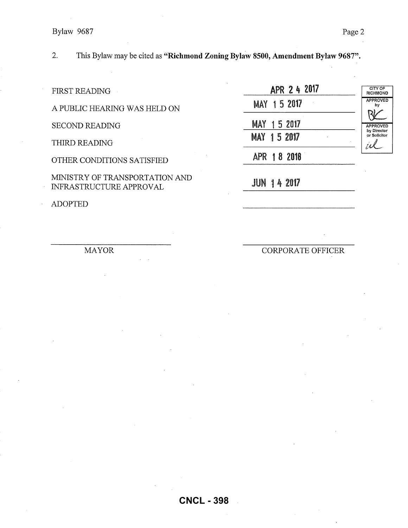## Bylaw 9687 Page 2

2. This Bylaw may be cited as **"Richmond Zoning Bylaw 8500, Amendment Bylaw 9687".** 

FIRST READING

A PUBLIC HEARING WAS HELD ON

SECOND READING

THIRD READING

OTHER CONDITIONS SATISFIED

MINISTRY OF TRANSPORTATION AND INFRASTRUCTURE APPROVAL

ADOPTED

2 4 **<sup>2017</sup>** MAY 1 5 2017 MAY 1 5 2017 MAY 1 5 2017 APR 1 8 2018 CITY OF RICHMOND APPROVED by APPROVED  $R$ by Director or Solicitor *td.\_.* 

JUN 14 2017

MAYOR

CORPORATE OFFICER